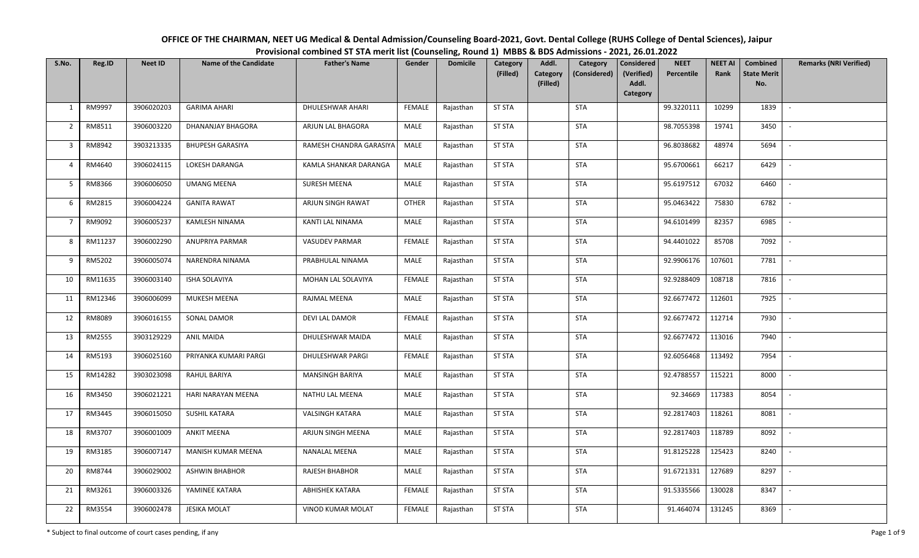| OFFICE OF THE CHAIRMAN, NEET UG Medical & Dental Admission/Counseling Board-2021, Govt. Dental College (RUHS College of Dental Sciences), Jaipur |
|--------------------------------------------------------------------------------------------------------------------------------------------------|
| Provisional combined ST STA merit list (Counseling, Round 1) MBBS & BDS Admissions - 2021, 26.01.2022                                            |

| S.No.                   | Reg.ID  | <b>Neet ID</b> | <b>Name of the Candidate</b> | <b>Father's Name</b>     | Gender        | <b>Domicile</b> | Category<br>(Filled) | Addl.<br>Category<br>(Filled) | Category<br>(Considered) | <b>Considered</b><br>(Verified)<br>Addl.<br>Category | <b>NEET</b><br>Percentile | <b>NEET AI</b><br>Rank | Combined<br><b>State Merit</b><br>No. | <b>Remarks (NRI Verified)</b> |
|-------------------------|---------|----------------|------------------------------|--------------------------|---------------|-----------------|----------------------|-------------------------------|--------------------------|------------------------------------------------------|---------------------------|------------------------|---------------------------------------|-------------------------------|
| $\mathbf{1}$            | RM9997  | 3906020203     | <b>GARIMA AHARI</b>          | DHULESHWAR AHARI         | <b>FEMALE</b> | Rajasthan       | <b>ST STA</b>        |                               | <b>STA</b>               |                                                      | 99.3220111                | 10299                  | 1839                                  | $\overline{\phantom{a}}$      |
| $\overline{2}$          | RM8511  | 3906003220     | DHANANJAY BHAGORA            | ARJUN LAL BHAGORA        | MALE          | Rajasthan       | <b>ST STA</b>        |                               | <b>STA</b>               |                                                      | 98.7055398                | 19741                  | 3450                                  | $\overline{\phantom{a}}$      |
| $\overline{\mathbf{3}}$ | RM8942  | 3903213335     | <b>BHUPESH GARASIYA</b>      | RAMESH CHANDRA GARASIYA  | MALE          | Rajasthan       | <b>ST STA</b>        |                               | STA                      |                                                      | 96.8038682                | 48974                  | 5694                                  | $\overline{\phantom{a}}$      |
| $\overline{4}$          | RM4640  | 3906024115     | LOKESH DARANGA               | KAMLA SHANKAR DARANGA    | MALE          | Rajasthan       | <b>ST STA</b>        |                               | STA                      |                                                      | 95.6700661                | 66217                  | 6429                                  | $\overline{\phantom{a}}$      |
| 5                       | RM8366  | 3906006050     | <b>UMANG MEENA</b>           | SURESH MEENA             | MALE          | Rajasthan       | <b>ST STA</b>        |                               | STA                      |                                                      | 95.6197512                | 67032                  | 6460                                  | $\overline{\phantom{a}}$      |
| 6                       | RM2815  | 3906004224     | <b>GANITA RAWAT</b>          | ARJUN SINGH RAWAT        | <b>OTHER</b>  | Rajasthan       | <b>ST STA</b>        |                               | STA                      |                                                      | 95.0463422                | 75830                  | 6782                                  | $\overline{\phantom{a}}$      |
| $\overline{7}$          | RM9092  | 3906005237     | <b>KAMLESH NINAMA</b>        | KANTI LAL NINAMA         | MALE          | Rajasthan       | <b>ST STA</b>        |                               | <b>STA</b>               |                                                      | 94.6101499                | 82357                  | 6985                                  |                               |
| 8                       | RM11237 | 3906002290     | ANUPRIYA PARMAR              | <b>VASUDEV PARMAR</b>    | <b>FEMALE</b> | Rajasthan       | <b>ST STA</b>        |                               | STA                      |                                                      | 94.4401022                | 85708                  | 7092                                  | $\overline{\phantom{a}}$      |
| 9                       | RM5202  | 3906005074     | NARENDRA NINAMA              | PRABHULAL NINAMA         | MALE          | Rajasthan       | <b>ST STA</b>        |                               | <b>STA</b>               |                                                      | 92.9906176                | 107601                 | 7781                                  |                               |
| 10                      | RM11635 | 3906003140     | ISHA SOLAVIYA                | MOHAN LAL SOLAVIYA       | <b>FEMALE</b> | Rajasthan       | <b>ST STA</b>        |                               | <b>STA</b>               |                                                      | 92.9288409                | 108718                 | 7816                                  | $\overline{\phantom{a}}$      |
| 11                      | RM12346 | 3906006099     | MUKESH MEENA                 | RAJMAL MEENA             | MALE          | Rajasthan       | <b>ST STA</b>        |                               | <b>STA</b>               |                                                      | 92.6677472                | 112601                 | 7925                                  |                               |
| 12                      | RM8089  | 3906016155     | SONAL DAMOR                  | DEVI LAL DAMOR           | <b>FEMALE</b> | Rajasthan       | <b>ST STA</b>        |                               | <b>STA</b>               |                                                      | 92.6677472                | 112714                 | 7930                                  | $\overline{\phantom{a}}$      |
| 13                      | RM2555  | 3903129229     | <b>ANIL MAIDA</b>            | DHULESHWAR MAIDA         | MALE          | Rajasthan       | <b>ST STA</b>        |                               | <b>STA</b>               |                                                      | 92.6677472                | 113016                 | 7940                                  |                               |
| 14                      | RM5193  | 3906025160     | PRIYANKA KUMARI PARGI        | DHULESHWAR PARGI         | <b>FEMALE</b> | Rajasthan       | ST STA               |                               | <b>STA</b>               |                                                      | 92.6056468                | 113492                 | 7954                                  | $\mathbb{L}$                  |
| 15                      | RM14282 | 3903023098     | RAHUL BARIYA                 | <b>MANSINGH BARIYA</b>   | MALE          | Rajasthan       | <b>ST STA</b>        |                               | STA                      |                                                      | 92.4788557                | 115221                 | 8000                                  | $\overline{\phantom{a}}$      |
| 16                      | RM3450  | 3906021221     | HARI NARAYAN MEENA           | NATHU LAL MEENA          | MALE          | Rajasthan       | <b>ST STA</b>        |                               | <b>STA</b>               |                                                      | 92.34669                  | 117383                 | 8054                                  | $\overline{\phantom{a}}$      |
| 17                      | RM3445  | 3906015050     | <b>SUSHIL KATARA</b>         | VALSINGH KATARA          | MALE          | Rajasthan       | <b>ST STA</b>        |                               | STA                      |                                                      | 92.2817403                | 118261                 | 8081                                  | $\overline{\phantom{a}}$      |
| 18                      | RM3707  | 3906001009     | <b>ANKIT MEENA</b>           | ARJUN SINGH MEENA        | MALE          | Rajasthan       | <b>ST STA</b>        |                               | <b>STA</b>               |                                                      | 92.2817403                | 118789                 | 8092                                  | $\sim$                        |
| 19                      | RM3185  | 3906007147     | MANISH KUMAR MEENA           | <b>NANALAL MEENA</b>     | MALE          | Rajasthan       | <b>ST STA</b>        |                               | <b>STA</b>               |                                                      | 91.8125228                | 125423                 | 8240                                  |                               |
| 20                      | RM8744  | 3906029002     | <b>ASHWIN BHABHOR</b>        | RAJESH BHABHOR           | MALE          | Rajasthan       | <b>ST STA</b>        |                               | STA                      |                                                      | 91.6721331                | 127689                 | 8297                                  |                               |
| 21                      | RM3261  | 3906003326     | YAMINEE KATARA               | <b>ABHISHEK KATARA</b>   | <b>FEMALE</b> | Rajasthan       | <b>ST STA</b>        |                               | STA                      |                                                      | 91.5335566                | 130028                 | 8347                                  |                               |
| 22                      | RM3554  | 3906002478     | <b>JESIKA MOLAT</b>          | <b>VINOD KUMAR MOLAT</b> | FEMALE        | Rajasthan       | <b>ST STA</b>        |                               | <b>STA</b>               |                                                      | 91.464074                 | 131245                 | 8369                                  | $\overline{\phantom{a}}$      |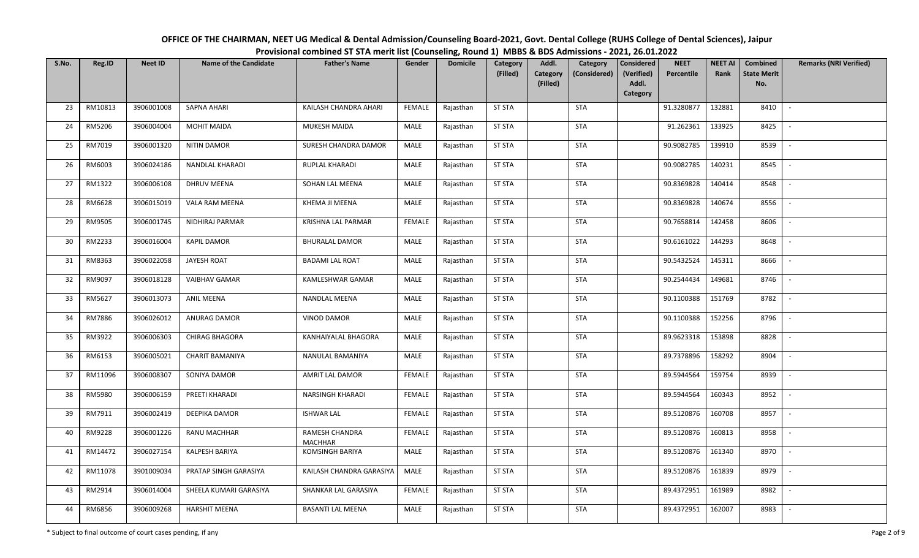| OFFICE OF THE CHAIRMAN, NEET UG Medical & Dental Admission/Counseling Board-2021, Govt. Dental College (RUHS College of Dental Sciences), Jaipur |
|--------------------------------------------------------------------------------------------------------------------------------------------------|
| Provisional combined ST STA merit list (Counseling, Round 1) MBBS & BDS Admissions - 2021, 26.01.2022                                            |

| S.No. | Reg.ID  | <b>Neet ID</b> | <b>Name of the Candidate</b> | <b>Father's Name</b>             | Gender        | <b>Domicile</b> | Category<br>(Filled) | Addl.<br>Category<br>(Considered)<br>Category<br>(Filled) | <b>Considered</b><br>(Verified)<br>Addl.<br>Category | <b>NEET</b><br>Percentile | <b>NEET AI</b><br>Rank | Combined<br><b>State Merit</b><br>No. | <b>Remarks (NRI Verified)</b> |
|-------|---------|----------------|------------------------------|----------------------------------|---------------|-----------------|----------------------|-----------------------------------------------------------|------------------------------------------------------|---------------------------|------------------------|---------------------------------------|-------------------------------|
| 23    | RM10813 | 3906001008     | SAPNA AHARI                  | KAILASH CHANDRA AHARI            | FEMALE        | Rajasthan       | <b>ST STA</b>        | <b>STA</b>                                                |                                                      | 91.3280877                | 132881                 | 8410                                  | $\sim$                        |
| 24    | RM5206  | 3906004004     | <b>MOHIT MAIDA</b>           | MUKESH MAIDA                     | MALE          | Rajasthan       | <b>ST STA</b>        | STA                                                       |                                                      | 91.262361                 | 133925                 | 8425                                  | $\overline{\phantom{a}}$      |
| 25    | RM7019  | 3906001320     | <b>NITIN DAMOR</b>           | SURESH CHANDRA DAMOR             | MALE          | Rajasthan       | <b>ST STA</b>        | STA                                                       |                                                      | 90.9082785                | 139910                 | 8539                                  | $\overline{\phantom{a}}$      |
| 26    | RM6003  | 3906024186     | NANDLAL KHARADI              | RUPLAL KHARADI                   | MALE          | Rajasthan       | <b>ST STA</b>        | <b>STA</b>                                                |                                                      | 90.9082785                | 140231                 | 8545                                  | $\overline{\phantom{a}}$      |
| 27    | RM1322  | 3906006108     | DHRUV MEENA                  | SOHAN LAL MEENA                  | MALE          | Rajasthan       | <b>ST STA</b>        | <b>STA</b>                                                |                                                      | 90.8369828                | 140414                 | 8548                                  | $\overline{\phantom{a}}$      |
| 28    | RM6628  | 3906015019     | VALA RAM MEENA               | <b>KHEMA JI MEENA</b>            | <b>MALE</b>   | Rajasthan       | <b>ST STA</b>        | <b>STA</b>                                                |                                                      | 90.8369828                | 140674                 | 8556                                  | $\overline{\phantom{a}}$      |
| 29    | RM9505  | 3906001745     | NIDHIRAJ PARMAR              | KRISHNA LAL PARMAR               | <b>FEMALE</b> | Rajasthan       | <b>ST STA</b>        | <b>STA</b>                                                |                                                      | 90.7658814                | 142458                 | 8606                                  |                               |
| 30    | RM2233  | 3906016004     | <b>KAPIL DAMOR</b>           | <b>BHURALAL DAMOR</b>            | MALE          | Rajasthan       | <b>ST STA</b>        | <b>STA</b>                                                |                                                      | 90.6161022                | 144293                 | 8648                                  |                               |
| 31    | RM8363  | 3906022058     | JAYESH ROAT                  | <b>BADAMI LAL ROAT</b>           | MALE          | Rajasthan       | <b>ST STA</b>        | <b>STA</b>                                                |                                                      | 90.5432524                | 145311                 | 8666                                  |                               |
| 32    | RM9097  | 3906018128     | <b>VAIBHAV GAMAR</b>         | KAMLESHWAR GAMAR                 | MALE          | Rajasthan       | <b>ST STA</b>        | <b>STA</b>                                                |                                                      | 90.2544434                | 149681                 | 8746                                  | $\overline{\phantom{a}}$      |
| 33    | RM5627  | 3906013073     | <b>ANIL MEENA</b>            | NANDLAL MEENA                    | MALE          | Rajasthan       | <b>ST STA</b>        | <b>STA</b>                                                |                                                      | 90.1100388                | 151769                 | 8782                                  | $\overline{\phantom{a}}$      |
| 34    | RM7886  | 3906026012     | ANURAG DAMOR                 | <b>VINOD DAMOR</b>               | <b>MALE</b>   | Rajasthan       | <b>ST STA</b>        | <b>STA</b>                                                |                                                      | 90.1100388                | 152256                 | 8796                                  | $\overline{\phantom{a}}$      |
| 35    | RM3922  | 3906006303     | CHIRAG BHAGORA               | KANHAIYALAL BHAGORA              | MALE          | Rajasthan       | <b>ST STA</b>        | <b>STA</b>                                                |                                                      | 89.9623318                | 153898                 | 8828                                  |                               |
| 36    | RM6153  | 3906005021     | <b>CHARIT BAMANIYA</b>       | NANULAL BAMANIYA                 | MALE          | Rajasthan       | <b>ST STA</b>        | <b>STA</b>                                                |                                                      | 89.7378896                | 158292                 | 8904                                  |                               |
| 37    | RM11096 | 3906008307     | SONIYA DAMOR                 | AMRIT LAL DAMOR                  | <b>FEMALE</b> | Rajasthan       | <b>ST STA</b>        | <b>STA</b>                                                |                                                      | 89.5944564                | 159754                 | 8939                                  |                               |
| 38    | RM5980  | 3906006159     | PREETI KHARADI               | NARSINGH KHARADI                 | <b>FEMALE</b> | Rajasthan       | <b>ST STA</b>        | <b>STA</b>                                                |                                                      | 89.5944564                | 160343                 | 8952                                  | $\overline{\phantom{a}}$      |
| 39    | RM7911  | 3906002419     | DEEPIKA DAMOR                | <b>ISHWAR LAL</b>                | <b>FEMALE</b> | Rajasthan       | <b>ST STA</b>        | STA                                                       |                                                      | 89.5120876                | 160708                 | 8957                                  |                               |
| 40    | RM9228  | 3906001226     | <b>RANU MACHHAR</b>          | RAMESH CHANDRA<br><b>MACHHAR</b> | <b>FEMALE</b> | Rajasthan       | <b>ST STA</b>        | <b>STA</b>                                                |                                                      | 89.5120876                | 160813                 | 8958                                  | $\blacksquare$                |
| 41    | RM14472 | 3906027154     | KALPESH BARIYA               | <b>KOMSINGH BARIYA</b>           | MALE          | Rajasthan       | <b>ST STA</b>        | <b>STA</b>                                                |                                                      | 89.5120876                | 161340                 | 8970                                  |                               |
| 42    | RM11078 | 3901009034     | PRATAP SINGH GARASIYA        | KAILASH CHANDRA GARASIYA         | MALE          | Rajasthan       | <b>ST STA</b>        | <b>STA</b>                                                |                                                      | 89.5120876                | 161839                 | 8979                                  |                               |
| 43    | RM2914  | 3906014004     | SHEELA KUMARI GARASIYA       | SHANKAR LAL GARASIYA             | FEMALE        | Rajasthan       | <b>ST STA</b>        | <b>STA</b>                                                |                                                      | 89.4372951                | 161989                 | 8982                                  |                               |
| 44    | RM6856  | 3906009268     | <b>HARSHIT MEENA</b>         | <b>BASANTI LAL MEENA</b>         | MALE          | Rajasthan       | <b>ST STA</b>        | <b>STA</b>                                                |                                                      | 89.4372951                | 162007                 | 8983                                  | $\sim$                        |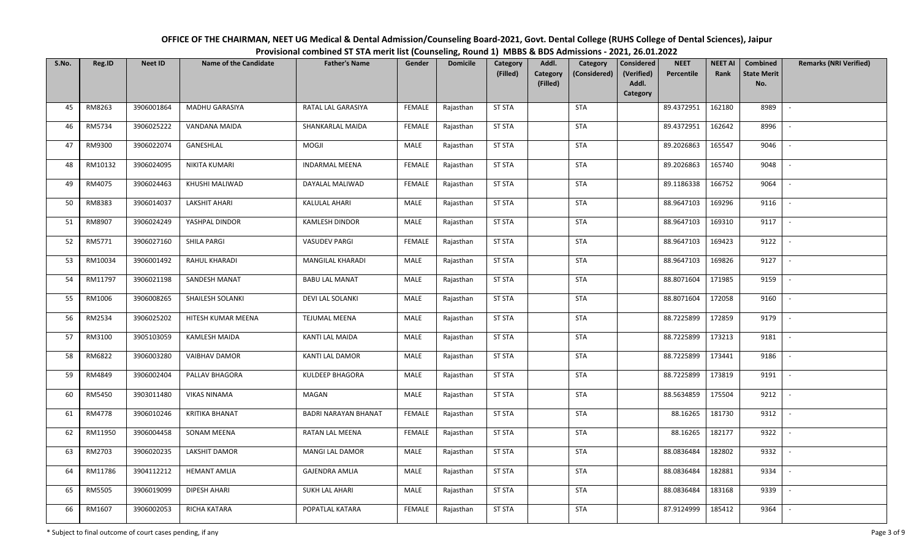| OFFICE OF THE CHAIRMAN, NEET UG Medical & Dental Admission/Counseling Board-2021, Govt. Dental College (RUHS College of Dental Sciences), Jaipur |
|--------------------------------------------------------------------------------------------------------------------------------------------------|
| Provisional combined ST STA merit list (Counseling, Round 1) MBBS & BDS Admissions - 2021, 26.01.2022                                            |

| S.No. | Reg.ID  | <b>Neet ID</b> | <b>Name of the Candidate</b> | <b>Father's Name</b>        | Gender        | <b>Domicile</b> | Category<br>(Filled) | Addl.<br>Category<br>(Filled) | Category<br>(Considered) | Considered<br>(Verified)<br>Addl. | <b>NEET</b><br>Percentile | <b>NEET AI</b><br>Rank | Combined<br><b>State Merit</b><br>No. | <b>Remarks (NRI Verified)</b> |
|-------|---------|----------------|------------------------------|-----------------------------|---------------|-----------------|----------------------|-------------------------------|--------------------------|-----------------------------------|---------------------------|------------------------|---------------------------------------|-------------------------------|
|       |         |                |                              |                             |               |                 |                      |                               |                          | Category                          |                           |                        |                                       |                               |
| 45    | RM8263  | 3906001864     | <b>MADHU GARASIYA</b>        | RATAL LAL GARASIYA          | <b>FEMALE</b> | Rajasthan       | <b>ST STA</b>        |                               | <b>STA</b>               |                                   | 89.4372951                | 162180                 | 8989                                  | $\sim$                        |
| 46    | RM5734  | 3906025222     | VANDANA MAIDA                | SHANKARLAL MAIDA            | <b>FEMALE</b> | Rajasthan       | <b>ST STA</b>        |                               | <b>STA</b>               |                                   | 89.4372951                | 162642                 | 8996                                  | $\mathbb{L}$                  |
| 47    | RM9300  | 3906022074     | GANESHLAL                    | MOGJI                       | MALE          | Rajasthan       | <b>ST STA</b>        |                               | <b>STA</b>               |                                   | 89.2026863                | 165547                 | 9046                                  | $\sim$                        |
| 48    | RM10132 | 3906024095     | NIKITA KUMARI                | <b>INDARMAL MEENA</b>       | <b>FEMALE</b> | Rajasthan       | <b>ST STA</b>        |                               | <b>STA</b>               |                                   | 89.2026863                | 165740                 | 9048                                  | $\sim$                        |
| 49    | RM4075  | 3906024463     | KHUSHI MALIWAD               | DAYALAL MALIWAD             | <b>FEMALE</b> | Rajasthan       | <b>ST STA</b>        |                               | <b>STA</b>               |                                   | 89.1186338                | 166752                 | 9064                                  | $\sim$                        |
| 50    | RM8383  | 3906014037     | <b>LAKSHIT AHARI</b>         | KALULAL AHARI               | MALE          | Rajasthan       | <b>ST STA</b>        |                               | <b>STA</b>               |                                   | 88.9647103                | 169296                 | 9116                                  | $\overline{\phantom{a}}$      |
| 51    | RM8907  | 3906024249     | YASHPAL DINDOR               | <b>KAMLESH DINDOR</b>       | MALE          | Rajasthan       | <b>ST STA</b>        |                               | <b>STA</b>               |                                   | 88.9647103                | 169310                 | 9117                                  | $\blacksquare$                |
| 52    | RM5771  | 3906027160     | SHILA PARGI                  | <b>VASUDEV PARGI</b>        | <b>FEMALE</b> | Rajasthan       | <b>ST STA</b>        |                               | <b>STA</b>               |                                   | 88.9647103                | 169423                 | 9122                                  | $\mathbb{L}$                  |
| 53    | RM10034 | 3906001492     | RAHUL KHARADI                | MANGILAL KHARADI            | MALE          | Rajasthan       | <b>ST STA</b>        |                               | <b>STA</b>               |                                   | 88.9647103                | 169826                 | 9127                                  | $\sim$                        |
| 54    | RM11797 | 3906021198     | SANDESH MANAT                | <b>BABU LAL MANAT</b>       | MALE          | Rajasthan       | <b>ST STA</b>        |                               | <b>STA</b>               |                                   | 88.8071604                | 171985                 | 9159                                  | $\sim$                        |
| 55    | RM1006  | 3906008265     | SHAILESH SOLANKI             | DEVI LAL SOLANKI            | MALE          | Rajasthan       | <b>ST STA</b>        |                               | <b>STA</b>               |                                   | 88.8071604                | 172058                 | 9160                                  |                               |
| 56    | RM2534  | 3906025202     | HITESH KUMAR MEENA           | <b>TEJUMAL MEENA</b>        | MALE          | Rajasthan       | <b>ST STA</b>        |                               | <b>STA</b>               |                                   | 88.7225899                | 172859                 | 9179                                  | $\sim$                        |
| 57    | RM3100  | 3905103059     | <b>KAMLESH MAIDA</b>         | KANTI LAL MAIDA             | MALE          | Rajasthan       | <b>ST STA</b>        |                               | <b>STA</b>               |                                   | 88.7225899                | 173213                 | 9181                                  | $\sim$                        |
| 58    | RM6822  | 3906003280     | <b>VAIBHAV DAMOR</b>         | KANTI LAL DAMOR             | MALE          | Rajasthan       | <b>ST STA</b>        |                               | <b>STA</b>               |                                   | 88.7225899                | 173441                 | 9186                                  | $\mathbb{L}$                  |
| 59    | RM4849  | 3906002404     | PALLAV BHAGORA               | KULDEEP BHAGORA             | MALE          | Rajasthan       | <b>ST STA</b>        |                               | <b>STA</b>               |                                   | 88.7225899                | 173819                 | 9191                                  |                               |
| 60    | RM5450  | 3903011480     | <b>VIKAS NINAMA</b>          | MAGAN                       | MALE          | Rajasthan       | <b>ST STA</b>        |                               | STA                      |                                   | 88.5634859                | 175504                 | 9212                                  | $\overline{\phantom{a}}$      |
| 61    | RM4778  | 3906010246     | <b>KRITIKA BHANAT</b>        | <b>BADRI NARAYAN BHANAT</b> | <b>FEMALE</b> | Rajasthan       | <b>ST STA</b>        |                               | STA                      |                                   | 88.16265                  | 181730                 | 9312                                  |                               |
| 62    | RM11950 | 3906004458     | SONAM MEENA                  | RATAN LAL MEENA             | <b>FEMALE</b> | Rajasthan       | <b>ST STA</b>        |                               | <b>STA</b>               |                                   | 88.16265                  | 182177                 | 9322                                  | $\mathbb{L}$                  |
| 63    | RM2703  | 3906020235     | <b>LAKSHIT DAMOR</b>         | MANGI LAL DAMOR             | MALE          | Rajasthan       | <b>ST STA</b>        |                               | <b>STA</b>               |                                   | 88.0836484                | 182802                 | 9332                                  |                               |
| 64    | RM11786 | 3904112212     | <b>HEMANT AMLIA</b>          | <b>GAJENDRA AMLIA</b>       | MALE          | Rajasthan       | <b>ST STA</b>        |                               | <b>STA</b>               |                                   | 88.0836484                | 182881                 | 9334                                  | $\mathbb{L}$                  |
| 65    | RM5505  | 3906019099     | <b>DIPESH AHARI</b>          | <b>SUKH LAL AHARI</b>       | MALE          | Rajasthan       | <b>ST STA</b>        |                               | <b>STA</b>               |                                   | 88.0836484                | 183168                 | 9339                                  | $\overline{\phantom{a}}$      |
| 66    | RM1607  | 3906002053     | RICHA KATARA                 | POPATLAL KATARA             | <b>FEMALE</b> | Rajasthan       | <b>ST STA</b>        |                               | <b>STA</b>               |                                   | 87.9124999                | 185412                 | 9364                                  | $\sim$                        |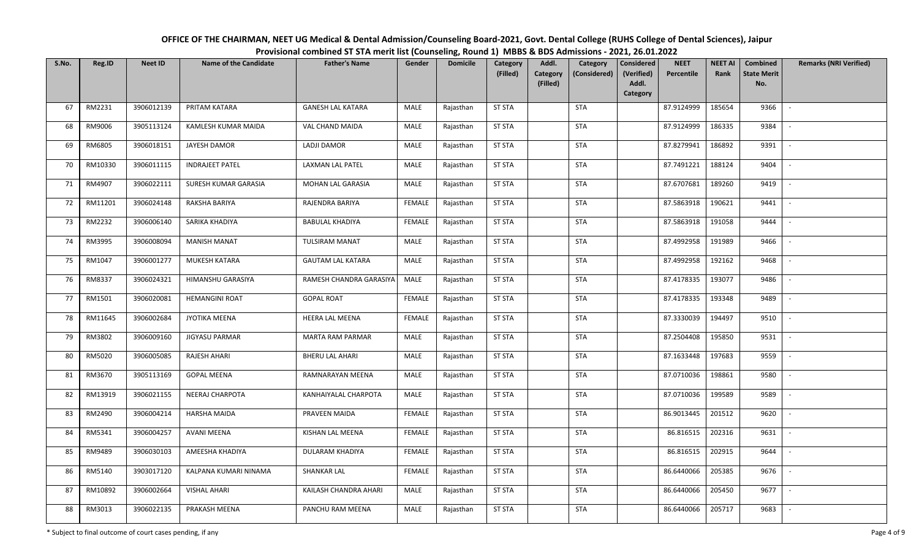| OFFICE OF THE CHAIRMAN, NEET UG Medical & Dental Admission/Counseling Board-2021, Govt. Dental College (RUHS College of Dental Sciences), Jaipur |
|--------------------------------------------------------------------------------------------------------------------------------------------------|
| Provisional combined ST STA merit list (Counseling, Round 1) MBBS & BDS Admissions - 2021, 26.01.2022                                            |

| S.No. | Reg.ID  | <b>Neet ID</b> | <b>Name of the Candidate</b> | <b>Father's Name</b>     | Gender        | <b>Domicile</b> | Category<br>(Filled) | Addl.<br><b>Category</b><br>(Filled) | Category<br>(Considered) | <b>Considered</b><br>(Verified)<br>Addl.<br>Category | <b>NEET</b><br>Percentile | <b>NEET AI</b><br>Rank | Combined<br><b>State Merit</b><br>No. | <b>Remarks (NRI Verified)</b> |
|-------|---------|----------------|------------------------------|--------------------------|---------------|-----------------|----------------------|--------------------------------------|--------------------------|------------------------------------------------------|---------------------------|------------------------|---------------------------------------|-------------------------------|
| 67    | RM2231  | 3906012139     | PRITAM KATARA                | <b>GANESH LAL KATARA</b> | MALE          | Rajasthan       | <b>ST STA</b>        |                                      | STA                      |                                                      | 87.9124999                | 185654                 | 9366                                  | $\sim$                        |
| 68    | RM9006  | 3905113124     | KAMLESH KUMAR MAIDA          | VAL CHAND MAIDA          | MALE          | Rajasthan       | <b>ST STA</b>        |                                      | STA                      |                                                      | 87.9124999                | 186335                 | 9384                                  | $\sim$                        |
| 69    | RM6805  | 3906018151     | JAYESH DAMOR                 | LADJI DAMOR              | MALE          | Rajasthan       | <b>ST STA</b>        |                                      | STA                      |                                                      | 87.8279941                | 186892                 | 9391                                  | $\sim$                        |
| 70    | RM10330 | 3906011115     | <b>INDRAJEET PATEL</b>       | LAXMAN LAL PATEL         | MALE          | Rajasthan       | <b>ST STA</b>        |                                      | <b>STA</b>               |                                                      | 87.7491221                | 188124                 | 9404                                  | $\sim$                        |
| 71    | RM4907  | 3906022111     | SURESH KUMAR GARASIA         | MOHAN LAL GARASIA        | <b>MALE</b>   | Rajasthan       | <b>ST STA</b>        |                                      | <b>STA</b>               |                                                      | 87.6707681                | 189260                 | 9419                                  | $\sim$                        |
| 72    | RM11201 | 3906024148     | RAKSHA BARIYA                | RAJENDRA BARIYA          | <b>FEMALE</b> | Rajasthan       | <b>ST STA</b>        |                                      | STA                      |                                                      | 87.5863918                | 190621                 | 9441                                  |                               |
| 73    | RM2232  | 3906006140     | SARIKA KHADIYA               | <b>BABULAL KHADIYA</b>   | <b>FEMALE</b> | Rajasthan       | <b>ST STA</b>        |                                      | <b>STA</b>               |                                                      | 87.5863918                | 191058                 | 9444                                  |                               |
| 74    | RM3995  | 3906008094     | <b>MANISH MANAT</b>          | TULSIRAM MANAT           | MALE          | Rajasthan       | <b>ST STA</b>        |                                      | <b>STA</b>               |                                                      | 87.4992958                | 191989                 | 9466                                  |                               |
| 75    | RM1047  | 3906001277     | MUKESH KATARA                | <b>GAUTAM LAL KATARA</b> | MALE          | Rajasthan       | <b>ST STA</b>        |                                      | <b>STA</b>               |                                                      | 87.4992958                | 192162                 | 9468                                  |                               |
| 76    | RM8337  | 3906024321     | HIMANSHU GARASIYA            | RAMESH CHANDRA GARASIYA  | MALE          | Rajasthan       | <b>ST STA</b>        |                                      | <b>STA</b>               |                                                      | 87.4178335                | 193077                 | 9486                                  | $\overline{\phantom{a}}$      |
| 77    | RM1501  | 3906020081     | <b>HEMANGINI ROAT</b>        | <b>GOPAL ROAT</b>        | <b>FEMALE</b> | Rajasthan       | <b>ST STA</b>        |                                      | <b>STA</b>               |                                                      | 87.4178335                | 193348                 | 9489                                  | $\overline{\phantom{a}}$      |
| 78    | RM11645 | 3906002684     | JYOTIKA MEENA                | <b>HEERA LAL MEENA</b>   | <b>FEMALE</b> | Rajasthan       | <b>ST STA</b>        |                                      | <b>STA</b>               |                                                      | 87.3330039                | 194497                 | 9510                                  | $\overline{\phantom{a}}$      |
| 79    | RM3802  | 3906009160     | <b>JIGYASU PARMAR</b>        | MARTA RAM PARMAR         | MALE          | Rajasthan       | <b>ST STA</b>        |                                      | <b>STA</b>               |                                                      | 87.2504408                | 195850                 | 9531                                  |                               |
| 80    | RM5020  | 3906005085     | RAJESH AHARI                 | <b>BHERU LAL AHARI</b>   | MALE          | Rajasthan       | <b>ST STA</b>        |                                      | STA                      |                                                      | 87.1633448                | 197683                 | 9559                                  | $\overline{\phantom{a}}$      |
| 81    | RM3670  | 3905113169     | <b>GOPAL MEENA</b>           | RAMNARAYAN MEENA         | MALE          | Rajasthan       | <b>ST STA</b>        |                                      | STA                      |                                                      | 87.0710036                | 198861                 | 9580                                  |                               |
| 82    | RM13919 | 3906021155     | <b>NEERAJ CHARPOTA</b>       | KANHAIYALAL CHARPOTA     | MALE          | Rajasthan       | <b>ST STA</b>        |                                      | STA                      |                                                      | 87.0710036                | 199589                 | 9589                                  | $\overline{\phantom{a}}$      |
| 83    | RM2490  | 3906004214     | <b>HARSHA MAIDA</b>          | PRAVEEN MAIDA            | <b>FEMALE</b> | Rajasthan       | <b>ST STA</b>        |                                      | STA                      |                                                      | 86.9013445                | 201512                 | 9620                                  |                               |
| 84    | RM5341  | 3906004257     | <b>AVANI MEENA</b>           | KISHAN LAL MEENA         | <b>FEMALE</b> | Rajasthan       | <b>ST STA</b>        |                                      | STA                      |                                                      | 86.816515                 | 202316                 | 9631                                  | $\overline{\phantom{a}}$      |
| 85    | RM9489  | 3906030103     | AMEESHA KHADIYA              | DULARAM KHADIYA          | FEMALE        | Rajasthan       | <b>ST STA</b>        |                                      | STA                      |                                                      | 86.816515                 | 202915                 | 9644                                  |                               |
| 86    | RM5140  | 3903017120     | KALPANA KUMARI NINAMA        | <b>SHANKAR LAL</b>       | FEMALE        | Rajasthan       | <b>ST STA</b>        |                                      | <b>STA</b>               |                                                      | 86.6440066                | 205385                 | 9676                                  | $\sim$                        |
| 87    | RM10892 | 3906002664     | <b>VISHAL AHARI</b>          | KAILASH CHANDRA AHARI    | MALE          | Rajasthan       | <b>ST STA</b>        |                                      | <b>STA</b>               |                                                      | 86.6440066                | 205450                 | 9677                                  | $\overline{\phantom{a}}$      |
| 88    | RM3013  | 3906022135     | PRAKASH MEENA                | PANCHU RAM MEENA         | MALE          | Rajasthan       | <b>ST STA</b>        |                                      | <b>STA</b>               |                                                      | 86.6440066                | 205717                 | 9683                                  | $\sim$                        |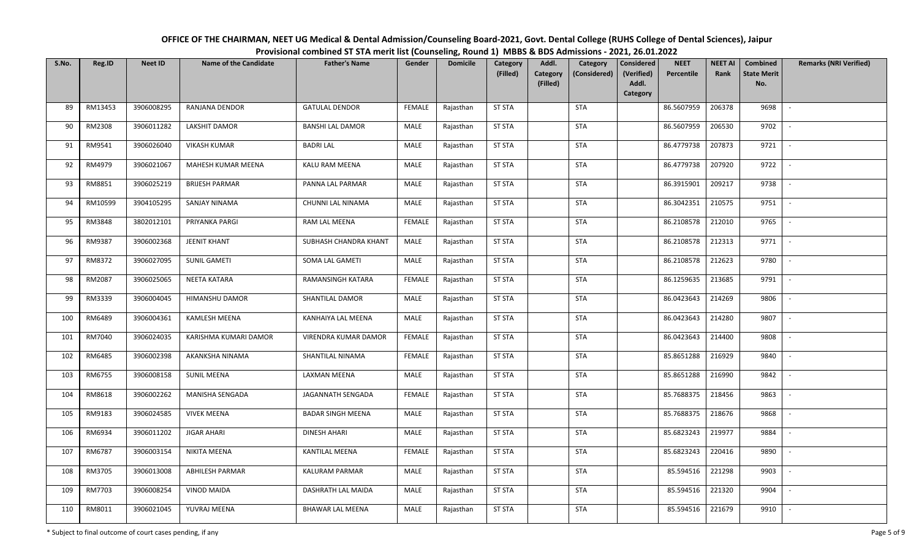| OFFICE OF THE CHAIRMAN, NEET UG Medical & Dental Admission/Counseling Board-2021, Govt. Dental College (RUHS College of Dental Sciences), Jaipur |
|--------------------------------------------------------------------------------------------------------------------------------------------------|
| Provisional combined ST STA merit list (Counseling, Round 1) MBBS & BDS Admissions - 2021, 26.01.2022                                            |

| S.No. | Reg.ID  | <b>Neet ID</b> | <b>Name of the Candidate</b> | <b>Father's Name</b>     | Gender        | <b>Domicile</b> | Category<br>(Filled) | Addl.<br><b>Category</b><br>(Filled) | Category<br>(Considered) | <b>Considered</b><br>(Verified)<br>Addl.<br>Category | <b>NEET</b><br>Percentile | <b>NEET AI</b><br>Rank | Combined<br><b>State Merit</b><br>No. | <b>Remarks (NRI Verified)</b> |
|-------|---------|----------------|------------------------------|--------------------------|---------------|-----------------|----------------------|--------------------------------------|--------------------------|------------------------------------------------------|---------------------------|------------------------|---------------------------------------|-------------------------------|
| 89    | RM13453 | 3906008295     | RANJANA DENDOR               | <b>GATULAL DENDOR</b>    | <b>FEMALE</b> | Rajasthan       | <b>ST STA</b>        |                                      | STA                      |                                                      | 86.5607959                | 206378                 | 9698                                  | $\sim$                        |
| 90    | RM2308  | 3906011282     | LAKSHIT DAMOR                | <b>BANSHI LAL DAMOR</b>  | MALE          | Rajasthan       | <b>ST STA</b>        |                                      | STA                      |                                                      | 86.5607959                | 206530                 | 9702                                  | $\sim$                        |
| 91    | RM9541  | 3906026040     | <b>VIKASH KUMAR</b>          | <b>BADRI LAL</b>         | MALE          | Rajasthan       | <b>ST STA</b>        |                                      | STA                      |                                                      | 86.4779738                | 207873                 | 9721                                  | $\sim$                        |
| 92    | RM4979  | 3906021067     | MAHESH KUMAR MEENA           | KALU RAM MEENA           | MALE          | Rajasthan       | <b>ST STA</b>        |                                      | <b>STA</b>               |                                                      | 86.4779738                | 207920                 | 9722                                  | $\sim$                        |
| 93    | RM8851  | 3906025219     | <b>BRIJESH PARMAR</b>        | PANNA LAL PARMAR         | <b>MALE</b>   | Rajasthan       | <b>ST STA</b>        |                                      | <b>STA</b>               |                                                      | 86.3915901                | 209217                 | 9738                                  | $\sim$                        |
| 94    | RM10599 | 3904105295     | <b>SANJAY NINAMA</b>         | CHUNNI LAL NINAMA        | <b>MALE</b>   | Rajasthan       | <b>ST STA</b>        |                                      | STA                      |                                                      | 86.3042351                | 210575                 | 9751                                  | $\overline{\phantom{a}}$      |
| 95    | RM3848  | 3802012101     | PRIYANKA PARGI               | RAM LAL MEENA            | <b>FEMALE</b> | Rajasthan       | <b>ST STA</b>        |                                      | <b>STA</b>               |                                                      | 86.2108578                | 212010                 | 9765                                  |                               |
| 96    | RM9387  | 3906002368     | <b>JEENIT KHANT</b>          | SUBHASH CHANDRA KHANT    | MALE          | Rajasthan       | <b>ST STA</b>        |                                      | <b>STA</b>               |                                                      | 86.2108578                | 212313                 | 9771                                  |                               |
| 97    | RM8372  | 3906027095     | <b>SUNIL GAMETI</b>          | SOMA LAL GAMETI          | MALE          | Rajasthan       | <b>ST STA</b>        |                                      | <b>STA</b>               |                                                      | 86.2108578                | 212623                 | 9780                                  |                               |
| 98    | RM2087  | 3906025065     | NEETA KATARA                 | RAMANSINGH KATARA        | <b>FEMALE</b> | Rajasthan       | <b>ST STA</b>        |                                      | <b>STA</b>               |                                                      | 86.1259635                | 213685                 | 9791                                  | $\overline{\phantom{a}}$      |
| 99    | RM3339  | 3906004045     | HIMANSHU DAMOR               | SHANTILAL DAMOR          | MALE          | Rajasthan       | <b>ST STA</b>        |                                      | <b>STA</b>               |                                                      | 86.0423643                | 214269                 | 9806                                  |                               |
| 100   | RM6489  | 3906004361     | <b>KAMLESH MEENA</b>         | KANHAIYA LAL MEENA       | <b>MALE</b>   | Rajasthan       | <b>ST STA</b>        |                                      | <b>STA</b>               |                                                      | 86.0423643                | 214280                 | 9807                                  | $\overline{\phantom{a}}$      |
| 101   | RM7040  | 3906024035     | KARISHMA KUMARI DAMOR        | VIRENDRA KUMAR DAMOR     | <b>FEMALE</b> | Rajasthan       | <b>ST STA</b>        |                                      | <b>STA</b>               |                                                      | 86.0423643                | 214400                 | 9808                                  |                               |
| 102   | RM6485  | 3906002398     | AKANKSHA NINAMA              | SHANTILAL NINAMA         | <b>FEMALE</b> | Rajasthan       | <b>ST STA</b>        |                                      | STA                      |                                                      | 85.8651288                | 216929                 | 9840                                  | $\overline{\phantom{a}}$      |
| 103   | RM6755  | 3906008158     | <b>SUNIL MEENA</b>           | <b>LAXMAN MEENA</b>      | MALE          | Rajasthan       | <b>ST STA</b>        |                                      | STA                      |                                                      | 85.8651288                | 216990                 | 9842                                  |                               |
| 104   | RM8618  | 3906002262     | MANISHA SENGADA              | JAGANNATH SENGADA        | <b>FEMALE</b> | Rajasthan       | <b>ST STA</b>        |                                      | STA                      |                                                      | 85.7688375                | 218456                 | 9863                                  | $\overline{\phantom{a}}$      |
| 105   | RM9183  | 3906024585     | <b>VIVEK MEENA</b>           | <b>BADAR SINGH MEENA</b> | MALE          | Rajasthan       | <b>ST STA</b>        |                                      | STA                      |                                                      | 85.7688375                | 218676                 | 9868                                  |                               |
| 106   | RM6934  | 3906011202     | <b>JIGAR AHARI</b>           | <b>DINESH AHARI</b>      | MALE          | Rajasthan       | <b>ST STA</b>        |                                      | STA                      |                                                      | 85.6823243                | 219977                 | 9884                                  | $\overline{\phantom{a}}$      |
| 107   | RM6787  | 3906003154     | NIKITA MEENA                 | <b>KANTILAL MEENA</b>    | <b>FEMALE</b> | Rajasthan       | <b>ST STA</b>        |                                      | STA                      |                                                      | 85.6823243                | 220416                 | 9890                                  |                               |
| 108   | RM3705  | 3906013008     | <b>ABHILESH PARMAR</b>       | KALURAM PARMAR           | MALE          | Rajasthan       | <b>ST STA</b>        |                                      | <b>STA</b>               |                                                      | 85.594516                 | 221298                 | 9903                                  | $\overline{\phantom{a}}$      |
| 109   | RM7703  | 3906008254     | <b>VINOD MAIDA</b>           | DASHRATH LAL MAIDA       | MALE          | Rajasthan       | <b>ST STA</b>        |                                      | <b>STA</b>               |                                                      | 85.594516                 | 221320                 | 9904                                  |                               |
| 110   | RM8011  | 3906021045     | YUVRAJ MEENA                 | BHAWAR LAL MEENA         | MALE          | Rajasthan       | <b>ST STA</b>        |                                      | <b>STA</b>               |                                                      | 85.594516                 | 221679                 | 9910                                  | $\sim$                        |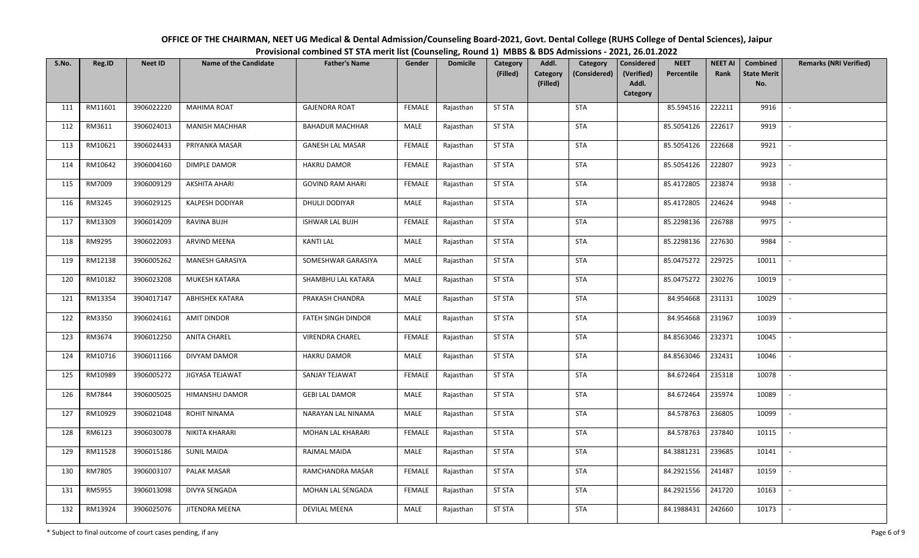| OFFICE OF THE CHAIRMAN, NEET UG Medical & Dental Admission/Counseling Board-2021, Govt. Dental College (RUHS College of Dental Sciences), Jaipur |
|--------------------------------------------------------------------------------------------------------------------------------------------------|
| Provisional combined ST STA merit list (Counseling, Round 1) MBBS & BDS Admissions - 2021, 26.01.2022                                            |

| S.No. | Reg.ID  | <b>Neet ID</b> | <b>Name of the Candidate</b> | <b>Father's Name</b>      | Gender        | <b>Domicile</b> | Category<br>(Filled) | Addl.<br>Category<br>(Considered)<br><b>Category</b><br>(Filled) | <b>Considered</b><br>(Verified)<br>Addl. | <b>NEET</b><br>Percentile | <b>NEET AI</b><br>Rank | Combined<br><b>State Merit</b><br>No. | <b>Remarks (NRI Verified)</b> |
|-------|---------|----------------|------------------------------|---------------------------|---------------|-----------------|----------------------|------------------------------------------------------------------|------------------------------------------|---------------------------|------------------------|---------------------------------------|-------------------------------|
|       |         |                |                              |                           |               |                 |                      |                                                                  | Category                                 |                           |                        |                                       |                               |
| 111   | RM11601 | 3906022220     | <b>MAHIMA ROAT</b>           | <b>GAJENDRA ROAT</b>      | <b>FEMALE</b> | Rajasthan       | <b>ST STA</b>        | <b>STA</b>                                                       |                                          | 85.594516                 | 222211                 | 9916                                  | $\overline{\phantom{a}}$      |
| 112   | RM3611  | 3906024013     | <b>MANISH MACHHAR</b>        | <b>BAHADUR MACHHAR</b>    | MALE          | Rajasthan       | <b>ST STA</b>        | STA                                                              |                                          | 85.5054126                | 222617                 | 9919                                  | $\overline{\phantom{a}}$      |
| 113   | RM10621 | 3906024433     | PRIYANKA MASAR               | <b>GANESH LAL MASAR</b>   | <b>FEMALE</b> | Rajasthan       | <b>ST STA</b>        | <b>STA</b>                                                       |                                          | 85.5054126                | 222668                 | 9921                                  | $\sim$                        |
| 114   | RM10642 | 3906004160     | DIMPLE DAMOR                 | <b>HAKRU DAMOR</b>        | <b>FEMALE</b> | Rajasthan       | <b>ST STA</b>        | <b>STA</b>                                                       |                                          | 85.5054126                | 222807                 | 9923                                  | $\overline{\phantom{a}}$      |
| 115   | RM7009  | 3906009129     | <b>AKSHITA AHARI</b>         | <b>GOVIND RAM AHARI</b>   | <b>FEMALE</b> | Rajasthan       | <b>ST STA</b>        | <b>STA</b>                                                       |                                          | 85.4172805                | 223874                 | 9938                                  |                               |
| 116   | RM3245  | 3906029125     | KALPESH DODIYAR              | DHULJI DODIYAR            | MALE          | Rajasthan       | <b>ST STA</b>        | <b>STA</b>                                                       |                                          | 85.4172805                | 224624                 | 9948                                  |                               |
| 117   | RM13309 | 3906014209     | RAVINA BUJH                  | <b>ISHWAR LAL BUJH</b>    | <b>FEMALE</b> | Rajasthan       | <b>ST STA</b>        | <b>STA</b>                                                       |                                          | 85.2298136                | 226788                 | 9975                                  |                               |
| 118   | RM9295  | 3906022093     | ARVIND MEENA                 | <b>KANTI LAL</b>          | MALE          | Rajasthan       | <b>ST STA</b>        | <b>STA</b>                                                       |                                          | 85.2298136                | 227630                 | 9984                                  | $\overline{\phantom{a}}$      |
| 119   | RM12138 | 3906005262     | <b>MANESH GARASIYA</b>       | SOMESHWAR GARASIYA        | MALE          | Rajasthan       | <b>ST STA</b>        | <b>STA</b>                                                       |                                          | 85.0475272                | 229725                 | 10011                                 | $\sim$                        |
| 120   | RM10182 | 3906023208     | MUKESH KATARA                | SHAMBHU LAL KATARA        | <b>MALE</b>   | Rajasthan       | <b>ST STA</b>        | <b>STA</b>                                                       |                                          | 85.0475272                | 230276                 | 10019                                 | $\overline{\phantom{a}}$      |
| 121   | RM13354 | 3904017147     | <b>ABHISHEK KATARA</b>       | PRAKASH CHANDRA           | MALE          | Rajasthan       | <b>ST STA</b>        | <b>STA</b>                                                       |                                          | 84.954668                 | 231131                 | 10029                                 |                               |
| 122   | RM3350  | 3906024161     | <b>AMIT DINDOR</b>           | <b>FATEH SINGH DINDOR</b> | MALE          | Rajasthan       | <b>ST STA</b>        | <b>STA</b>                                                       |                                          | 84.954668                 | 231967                 | 10039                                 | $\sim$                        |
| 123   | RM3674  | 3906012250     | <b>ANITA CHAREL</b>          | <b>VIRENDRA CHAREL</b>    | FEMALE        | Rajasthan       | <b>ST STA</b>        | <b>STA</b>                                                       |                                          | 84.8563046                | 232371                 | 10045                                 | $\blacksquare$                |
| 124   | RM10716 | 3906011166     | DIVYAM DAMOR                 | <b>HAKRU DAMOR</b>        | MALE          | Rajasthan       | <b>ST STA</b>        | <b>STA</b>                                                       |                                          | 84.8563046                | 232431                 | 10046                                 | $\overline{\phantom{a}}$      |
| 125   | RM10989 | 3906005272     | JIGYASA TEJAWAT              | SANJAY TEJAWAT            | <b>FEMALE</b> | Rajasthan       | <b>ST STA</b>        | STA                                                              |                                          | 84.672464                 | 235318                 | 10078                                 | $\overline{\phantom{a}}$      |
| 126   | RM7844  | 3906005025     | HIMANSHU DAMOR               | <b>GEBI LAL DAMOR</b>     | MALE          | Rajasthan       | <b>ST STA</b>        | <b>STA</b>                                                       |                                          | 84.672464                 | 235974                 | 10089                                 | $\sim$                        |
| 127   | RM10929 | 3906021048     | <b>ROHIT NINAMA</b>          | NARAYAN LAL NINAMA        | MALE          | Rajasthan       | <b>ST STA</b>        | <b>STA</b>                                                       |                                          | 84.578763                 | 236805                 | 10099                                 |                               |
| 128   | RM6123  | 3906030078     | NIKITA KHARARI               | MOHAN LAL KHARARI         | <b>FEMALE</b> | Rajasthan       | <b>ST STA</b>        | <b>STA</b>                                                       |                                          | 84.578763                 | 237840                 | 10115                                 | $\sim$                        |
| 129   | RM11528 | 3906015186     | <b>SUNIL MAIDA</b>           | RAJMAL MAIDA              | MALE          | Rajasthan       | <b>ST STA</b>        | <b>STA</b>                                                       |                                          | 84.3881231                | 239685                 | 10141                                 | $\sim$                        |
| 130   | RM7805  | 3906003107     | PALAK MASAR                  | RAMCHANDRA MASAR          | <b>FEMALE</b> | Rajasthan       | <b>ST STA</b>        | <b>STA</b>                                                       |                                          | 84.2921556                | 241487                 | 10159                                 | $\sim$                        |
| 131   | RM5955  | 3906013098     | DIVYA SENGADA                | MOHAN LAL SENGADA         | <b>FEMALE</b> | Rajasthan       | <b>ST STA</b>        | <b>STA</b>                                                       |                                          | 84.2921556                | 241720                 | 10163                                 | $\blacksquare$                |
| 132   | RM13924 | 3906025076     | JITENDRA MEENA               | <b>DEVILAL MEENA</b>      | MALE          | Rajasthan       | <b>ST STA</b>        | <b>STA</b>                                                       |                                          | 84.1988431                | 242660                 | 10173                                 | $\overline{\phantom{a}}$      |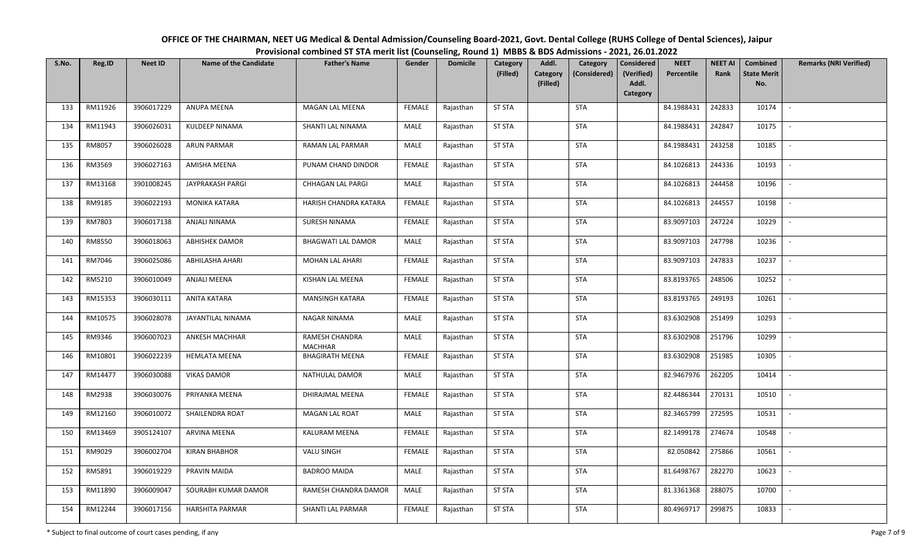| OFFICE OF THE CHAIRMAN, NEET UG Medical & Dental Admission/Counseling Board-2021, Govt. Dental College (RUHS College of Dental Sciences), Jaipur |
|--------------------------------------------------------------------------------------------------------------------------------------------------|
| Provisional combined ST STA merit list (Counseling, Round 1) MBBS & BDS Admissions - 2021, 26.01.2022                                            |

| S.No. | Reg.ID  | <b>Neet ID</b> | <b>Name of the Candidate</b> | <b>Father's Name</b>             | Gender        | <b>Domicile</b> | Category<br>(Filled) | Addl.<br>Category<br>(Filled) | Category<br>(Considered) | <b>Considered</b><br>(Verified)<br>Addl.<br>Category | <b>NEET</b><br>Percentile | <b>NEET AI</b><br>Rank | Combined<br><b>State Merit</b><br>No. | <b>Remarks (NRI Verified)</b> |
|-------|---------|----------------|------------------------------|----------------------------------|---------------|-----------------|----------------------|-------------------------------|--------------------------|------------------------------------------------------|---------------------------|------------------------|---------------------------------------|-------------------------------|
| 133   | RM11926 | 3906017229     | <b>ANUPA MEENA</b>           | <b>MAGAN LAL MEENA</b>           | <b>FEMALE</b> | Rajasthan       | <b>ST STA</b>        |                               | <b>STA</b>               |                                                      | 84.1988431                | 242833                 | 10174                                 | $\mathbb{L}$                  |
| 134   | RM11943 | 3906026031     | KULDEEP NINAMA               | SHANTI LAL NINAMA                | <b>MALE</b>   | Rajasthan       | <b>ST STA</b>        |                               | <b>STA</b>               |                                                      | 84.1988431                | 242847                 | 10175                                 | $\sim$                        |
| 135   | RM8057  | 3906026028     | ARUN PARMAR                  | RAMAN LAL PARMAR                 | MALE          | Rajasthan       | <b>ST STA</b>        |                               | <b>STA</b>               |                                                      | 84.1988431                | 243258                 | 10185                                 | $\sim$                        |
| 136   | RM3569  | 3906027163     | AMISHA MEENA                 | PUNAM CHAND DINDOR               | <b>FEMALE</b> | Rajasthan       | <b>ST STA</b>        |                               | <b>STA</b>               |                                                      | 84.1026813                | 244336                 | 10193                                 | $\overline{\phantom{a}}$      |
| 137   | RM13168 | 3901008245     | JAYPRAKASH PARGI             | CHHAGAN LAL PARGI                | MALE          | Rajasthan       | <b>ST STA</b>        |                               | <b>STA</b>               |                                                      | 84.1026813                | 244458                 | 10196                                 | $\overline{\phantom{a}}$      |
| 138   | RM9185  | 3906022193     | MONIKA KATARA                | HARISH CHANDRA KATARA            | <b>FEMALE</b> | Rajasthan       | <b>ST STA</b>        |                               | <b>STA</b>               |                                                      | 84.1026813                | 244557                 | 10198                                 | $\mathbb{L}$                  |
| 139   | RM7803  | 3906017138     | ANJALI NINAMA                | SURESH NINAMA                    | <b>FEMALE</b> | Rajasthan       | <b>ST STA</b>        |                               | <b>STA</b>               |                                                      | 83.9097103                | 247224                 | 10229                                 | $\overline{\phantom{a}}$      |
| 140   | RM8550  | 3906018063     | ABHISHEK DAMOR               | <b>BHAGWATI LAL DAMOR</b>        | MALE          | Rajasthan       | <b>ST STA</b>        |                               | <b>STA</b>               |                                                      | 83.9097103                | 247798                 | 10236                                 | $\sim$                        |
| 141   | RM7046  | 3906025086     | ABHILASHA AHARI              | MOHAN LAL AHARI                  | <b>FEMALE</b> | Rajasthan       | <b>ST STA</b>        |                               | <b>STA</b>               |                                                      | 83.9097103                | 247833                 | 10237                                 | $\sim$                        |
| 142   | RM5210  | 3906010049     | <b>ANJALI MEENA</b>          | KISHAN LAL MEENA                 | <b>FEMALE</b> | Rajasthan       | <b>ST STA</b>        |                               | <b>STA</b>               |                                                      | 83.8193765                | 248506                 | 10252                                 | $\sim$                        |
| 143   | RM15353 | 3906030111     | ANITA KATARA                 | <b>MANSINGH KATARA</b>           | <b>FEMALE</b> | Rajasthan       | <b>ST STA</b>        |                               | <b>STA</b>               |                                                      | 83.8193765                | 249193                 | 10261                                 | $\sim$                        |
| 144   | RM10575 | 3906028078     | JAYANTILAL NINAMA            | NAGAR NINAMA                     | MALE          | Rajasthan       | <b>ST STA</b>        |                               | <b>STA</b>               |                                                      | 83.6302908                | 251499                 | 10293                                 | $\sim$                        |
| 145   | RM9346  | 3906007023     | ANKESH MACHHAR               | RAMESH CHANDRA<br><b>MACHHAR</b> | MALE          | Rajasthan       | <b>ST STA</b>        |                               | <b>STA</b>               |                                                      | 83.6302908                | 251796                 | 10299                                 | $\overline{\phantom{a}}$      |
| 146   | RM10801 | 3906022239     | <b>HEMLATA MEENA</b>         | <b>BHAGIRATH MEENA</b>           | <b>FEMALE</b> | Rajasthan       | <b>ST STA</b>        |                               | <b>STA</b>               |                                                      | 83.6302908                | 251985                 | 10305                                 | $\sim$                        |
| 147   | RM14477 | 3906030088     | <b>VIKAS DAMOR</b>           | NATHULAL DAMOR                   | MALE          | Rajasthan       | <b>ST STA</b>        |                               | <b>STA</b>               |                                                      | 82.9467976                | 262205                 | 10414                                 |                               |
| 148   | RM2938  | 3906030076     | PRIYANKA MEENA               | DHIRAJMAL MEENA                  | <b>FEMALE</b> | Rajasthan       | <b>ST STA</b>        |                               | <b>STA</b>               |                                                      | 82.4486344                | 270131                 | 10510                                 | $\sim$                        |
| 149   | RM12160 | 3906010072     | SHAILENDRA ROAT              | <b>MAGAN LAL ROAT</b>            | MALE          | Rajasthan       | <b>ST STA</b>        |                               | STA                      |                                                      | 82.3465799                | 272595                 | 10531                                 | $\sim$                        |
| 150   | RM13469 | 3905124107     | ARVINA MEENA                 | KALURAM MEENA                    | <b>FEMALE</b> | Rajasthan       | <b>ST STA</b>        |                               | <b>STA</b>               |                                                      | 82.1499178                | 274674                 | 10548                                 | $\sim$                        |
| 151   | RM9029  | 3906002704     | <b>KIRAN BHABHOR</b>         | VALU SINGH                       | <b>FEMALE</b> | Rajasthan       | <b>ST STA</b>        |                               | <b>STA</b>               |                                                      | 82.050842                 | 275866                 | 10561                                 | $\sim$                        |
| 152   | RM5891  | 3906019229     | PRAVIN MAIDA                 | <b>BADROO MAIDA</b>              | MALE          | Rajasthan       | <b>ST STA</b>        |                               | <b>STA</b>               |                                                      | 81.6498767                | 282270                 | 10623                                 | $\sim$                        |
| 153   | RM11890 | 3906009047     | SOURABH KUMAR DAMOR          | RAMESH CHANDRA DAMOR             | MALE          | Rajasthan       | <b>ST STA</b>        |                               | <b>STA</b>               |                                                      | 81.3361368                | 288075                 | 10700                                 | $\sim$                        |
| 154   | RM12244 | 3906017156     | <b>HARSHITA PARMAR</b>       | SHANTI LAL PARMAR                | <b>FEMALE</b> | Rajasthan       | <b>ST STA</b>        |                               | <b>STA</b>               |                                                      | 80.4969717                | 299875                 | 10833                                 |                               |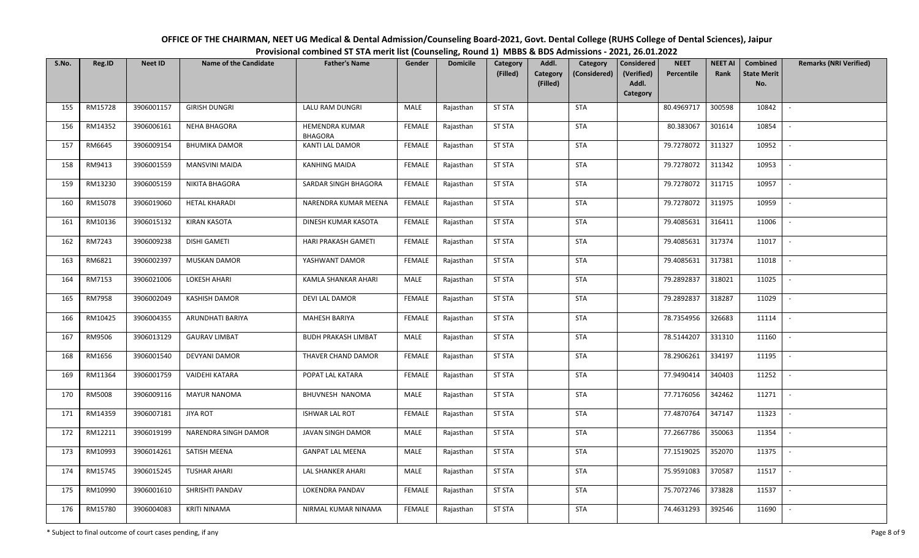| OFFICE OF THE CHAIRMAN, NEET UG Medical & Dental Admission/Counseling Board-2021, Govt. Dental College (RUHS College of Dental Sciences), Jaipur |
|--------------------------------------------------------------------------------------------------------------------------------------------------|
| Provisional combined ST STA merit list (Counseling, Round 1) MBBS & BDS Admissions - 2021, 26.01.2022                                            |

| S.No. | Reg.ID  | <b>Neet ID</b> | <b>Name of the Candidate</b> | <b>Father's Name</b>             | Gender        | <b>Domicile</b> | Category<br>(Filled) | Addl.<br>Category<br>Category<br>(Considered) | <b>Considered</b><br>(Verified) | <b>NEET</b><br>Percentile | <b>NEET AI</b><br>Rank | Combined<br><b>State Merit</b> | <b>Remarks (NRI Verified)</b> |
|-------|---------|----------------|------------------------------|----------------------------------|---------------|-----------------|----------------------|-----------------------------------------------|---------------------------------|---------------------------|------------------------|--------------------------------|-------------------------------|
|       |         |                |                              |                                  |               |                 |                      | (Filled)                                      | Addl.<br>Category               |                           |                        | No.                            |                               |
| 155   | RM15728 | 3906001157     | <b>GIRISH DUNGRI</b>         | LALU RAM DUNGRI                  | MALE          | Rajasthan       | <b>ST STA</b>        | <b>STA</b>                                    |                                 | 80.4969717                | 300598                 | 10842                          | $\sim$                        |
| 156   | RM14352 | 3906006161     | <b>NEHA BHAGORA</b>          | HEMENDRA KUMAR<br><b>BHAGORA</b> | <b>FEMALE</b> | Rajasthan       | <b>ST STA</b>        | STA                                           |                                 | 80.383067                 | 301614                 | 10854                          | $\sim$                        |
| 157   | RM6645  | 3906009154     | <b>BHUMIKA DAMOR</b>         | KANTI LAL DAMOR                  | <b>FEMALE</b> | Rajasthan       | <b>ST STA</b>        | <b>STA</b>                                    |                                 | 79.7278072                | 311327                 | 10952                          | $\sim$                        |
| 158   | RM9413  | 3906001559     | <b>MANSVINI MAIDA</b>        | <b>KANHING MAIDA</b>             | <b>FEMALE</b> | Rajasthan       | <b>ST STA</b>        | <b>STA</b>                                    |                                 | 79.7278072                | 311342                 | 10953                          | $\mathbb{L}$                  |
| 159   | RM13230 | 3906005159     | NIKITA BHAGORA               | SARDAR SINGH BHAGORA             | <b>FEMALE</b> | Rajasthan       | <b>ST STA</b>        | <b>STA</b>                                    |                                 | 79.7278072                | 311715                 | 10957                          | $\overline{\phantom{a}}$      |
| 160   | RM15078 | 3906019060     | <b>HETAL KHARADI</b>         | NARENDRA KUMAR MEENA             | <b>FEMALE</b> | Rajasthan       | <b>ST STA</b>        | <b>STA</b>                                    |                                 | 79.7278072                | 311975                 | 10959                          | $\overline{\phantom{a}}$      |
| 161   | RM10136 | 3906015132     | <b>KIRAN KASOTA</b>          | DINESH KUMAR KASOTA              | <b>FEMALE</b> | Rajasthan       | <b>ST STA</b>        | <b>STA</b>                                    |                                 | 79.4085631                | 316411                 | 11006                          |                               |
| 162   | RM7243  | 3906009238     | <b>DISHI GAMETI</b>          | HARI PRAKASH GAMETI              | <b>FEMALE</b> | Rajasthan       | <b>ST STA</b>        | <b>STA</b>                                    |                                 | 79.4085631                | 317374                 | 11017                          | $\overline{\phantom{a}}$      |
| 163   | RM6821  | 3906002397     | <b>MUSKAN DAMOR</b>          | YASHWANT DAMOR                   | <b>FEMALE</b> | Rajasthan       | <b>ST STA</b>        | <b>STA</b>                                    |                                 | 79.4085631                | 317381                 | 11018                          | $\overline{\phantom{a}}$      |
| 164   | RM7153  | 3906021006     | <b>LOKESH AHARI</b>          | KAMLA SHANKAR AHARI              | <b>MALE</b>   | Rajasthan       | <b>ST STA</b>        | <b>STA</b>                                    |                                 | 79.2892837                | 318021                 | 11025                          | $\sim$                        |
| 165   | RM7958  | 3906002049     | KASHISH DAMOR                | DEVI LAL DAMOR                   | <b>FEMALE</b> | Rajasthan       | <b>ST STA</b>        | <b>STA</b>                                    |                                 | 79.2892837                | 318287                 | 11029                          |                               |
| 166   | RM10425 | 3906004355     | ARUNDHATI BARIYA             | MAHESH BARIYA                    | <b>FEMALE</b> | Rajasthan       | <b>ST STA</b>        | <b>STA</b>                                    |                                 | 78.7354956                | 326683                 | 11114                          | $\overline{\phantom{a}}$      |
| 167   | RM9506  | 3906013129     | <b>GAURAV LIMBAT</b>         | <b>BUDH PRAKASH LIMBAT</b>       | MALE          | Rajasthan       | <b>ST STA</b>        | STA                                           |                                 | 78.5144207                | 331310                 | 11160                          |                               |
| 168   | RM1656  | 3906001540     | <b>DEVYANI DAMOR</b>         | THAVER CHAND DAMOR               | <b>FEMALE</b> | Rajasthan       | <b>ST STA</b>        | <b>STA</b>                                    |                                 | 78.2906261                | 334197                 | 11195                          | $\overline{\phantom{a}}$      |
| 169   | RM11364 | 3906001759     | <b>VAIDEHI KATARA</b>        | POPAT LAL KATARA                 | <b>FEMALE</b> | Rajasthan       | <b>ST STA</b>        | <b>STA</b>                                    |                                 | 77.9490414                | 340403                 | 11252                          |                               |
| 170   | RM5008  | 3906009116     | <b>MAYUR NANOMA</b>          | BHUVNESH NANOMA                  | MALE          | Rajasthan       | <b>ST STA</b>        | <b>STA</b>                                    |                                 | 77.7176056                | 342462                 | 11271                          | $\sim$                        |
| 171   | RM14359 | 3906007181     | <b>JIYA ROT</b>              | <b>ISHWAR LAL ROT</b>            | <b>FEMALE</b> | Rajasthan       | <b>ST STA</b>        | <b>STA</b>                                    |                                 | 77.4870764                | 347147                 | 11323                          |                               |
| 172   | RM12211 | 3906019199     | NARENDRA SINGH DAMOR         | JAVAN SINGH DAMOR                | MALE          | Rajasthan       | <b>ST STA</b>        | <b>STA</b>                                    |                                 | 77.2667786                | 350063                 | 11354                          | $\sim$                        |
| 173   | RM10993 | 3906014261     | SATISH MEENA                 | <b>GANPAT LAL MEENA</b>          | MALE          | Rajasthan       | <b>ST STA</b>        | <b>STA</b>                                    |                                 | 77.1519025                | 352070                 | 11375                          | $\sim$                        |
| 174   | RM15745 | 3906015245     | <b>TUSHAR AHARI</b>          | <b>LAL SHANKER AHARI</b>         | MALE          | Rajasthan       | <b>ST STA</b>        | <b>STA</b>                                    |                                 | 75.9591083                | 370587                 | 11517                          | $\sim$                        |
| 175   | RM10990 | 3906001610     | SHRISHTI PANDAV              | LOKENDRA PANDAV                  | <b>FEMALE</b> | Rajasthan       | <b>ST STA</b>        | <b>STA</b>                                    |                                 | 75.7072746                | 373828                 | 11537                          | $\sim$                        |
| 176   | RM15780 | 3906004083     | KRITI NINAMA                 | NIRMAL KUMAR NINAMA              | FEMALE        | Rajasthan       | <b>ST STA</b>        | <b>STA</b>                                    |                                 | 74.4631293                | 392546                 | 11690                          | $\overline{\phantom{a}}$      |